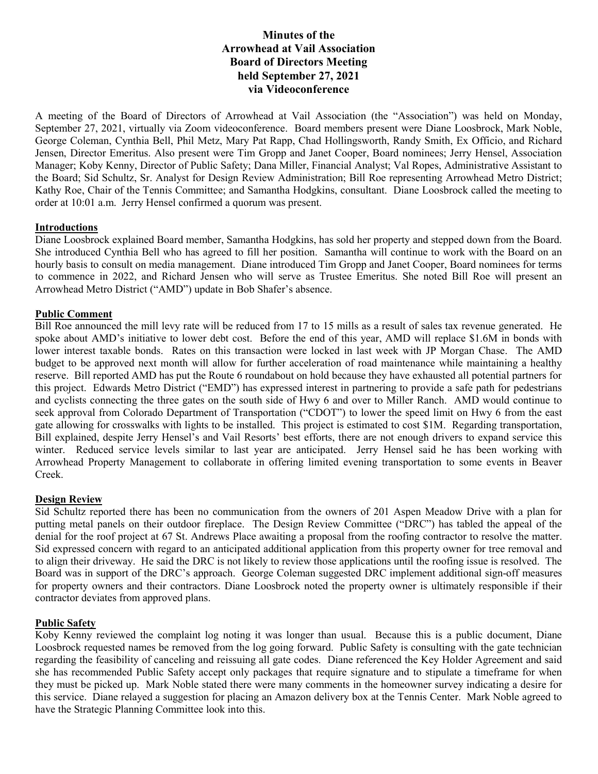# Minutes of the Arrowhead at Vail Association Board of Directors Meeting held September 27, 2021 via Videoconference

A meeting of the Board of Directors of Arrowhead at Vail Association (the "Association") was held on Monday, September 27, 2021, virtually via Zoom videoconference. Board members present were Diane Loosbrock, Mark Noble, George Coleman, Cynthia Bell, Phil Metz, Mary Pat Rapp, Chad Hollingsworth, Randy Smith, Ex Officio, and Richard Jensen, Director Emeritus. Also present were Tim Gropp and Janet Cooper, Board nominees; Jerry Hensel, Association Manager; Koby Kenny, Director of Public Safety; Dana Miller, Financial Analyst; Val Ropes, Administrative Assistant to the Board; Sid Schultz, Sr. Analyst for Design Review Administration; Bill Roe representing Arrowhead Metro District; Kathy Roe, Chair of the Tennis Committee; and Samantha Hodgkins, consultant. Diane Loosbrock called the meeting to order at 10:01 a.m. Jerry Hensel confirmed a quorum was present.

### Introductions

Diane Loosbrock explained Board member, Samantha Hodgkins, has sold her property and stepped down from the Board. She introduced Cynthia Bell who has agreed to fill her position. Samantha will continue to work with the Board on an hourly basis to consult on media management. Diane introduced Tim Gropp and Janet Cooper, Board nominees for terms to commence in 2022, and Richard Jensen who will serve as Trustee Emeritus. She noted Bill Roe will present an Arrowhead Metro District ("AMD") update in Bob Shafer's absence.

### Public Comment

Bill Roe announced the mill levy rate will be reduced from 17 to 15 mills as a result of sales tax revenue generated. He spoke about AMD's initiative to lower debt cost. Before the end of this year, AMD will replace \$1.6M in bonds with lower interest taxable bonds. Rates on this transaction were locked in last week with JP Morgan Chase. The AMD budget to be approved next month will allow for further acceleration of road maintenance while maintaining a healthy reserve. Bill reported AMD has put the Route 6 roundabout on hold because they have exhausted all potential partners for this project. Edwards Metro District ("EMD") has expressed interest in partnering to provide a safe path for pedestrians and cyclists connecting the three gates on the south side of Hwy 6 and over to Miller Ranch. AMD would continue to seek approval from Colorado Department of Transportation ("CDOT") to lower the speed limit on Hwy 6 from the east gate allowing for crosswalks with lights to be installed. This project is estimated to cost \$1M. Regarding transportation, Bill explained, despite Jerry Hensel's and Vail Resorts' best efforts, there are not enough drivers to expand service this winter. Reduced service levels similar to last year are anticipated. Jerry Hensel said he has been working with Arrowhead Property Management to collaborate in offering limited evening transportation to some events in Beaver Creek.

### Design Review

Sid Schultz reported there has been no communication from the owners of 201 Aspen Meadow Drive with a plan for putting metal panels on their outdoor fireplace. The Design Review Committee ("DRC") has tabled the appeal of the denial for the roof project at 67 St. Andrews Place awaiting a proposal from the roofing contractor to resolve the matter. Sid expressed concern with regard to an anticipated additional application from this property owner for tree removal and to align their driveway. He said the DRC is not likely to review those applications until the roofing issue is resolved. The Board was in support of the DRC's approach. George Coleman suggested DRC implement additional sign-off measures for property owners and their contractors. Diane Loosbrock noted the property owner is ultimately responsible if their contractor deviates from approved plans.

### Public Safety

Koby Kenny reviewed the complaint log noting it was longer than usual. Because this is a public document, Diane Loosbrock requested names be removed from the log going forward. Public Safety is consulting with the gate technician regarding the feasibility of canceling and reissuing all gate codes. Diane referenced the Key Holder Agreement and said she has recommended Public Safety accept only packages that require signature and to stipulate a timeframe for when they must be picked up. Mark Noble stated there were many comments in the homeowner survey indicating a desire for this service. Diane relayed a suggestion for placing an Amazon delivery box at the Tennis Center. Mark Noble agreed to have the Strategic Planning Committee look into this.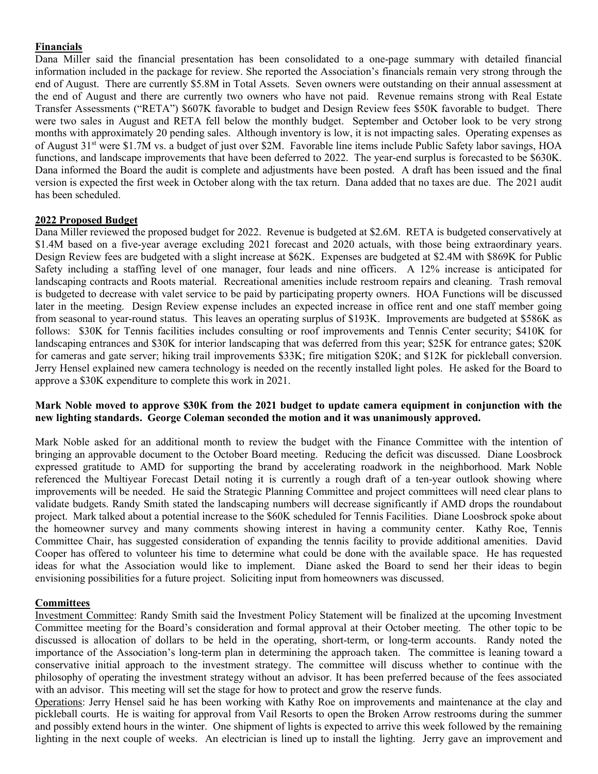## Financials

Dana Miller said the financial presentation has been consolidated to a one-page summary with detailed financial information included in the package for review. She reported the Association's financials remain very strong through the end of August. There are currently \$5.8M in Total Assets. Seven owners were outstanding on their annual assessment at the end of August and there are currently two owners who have not paid. Revenue remains strong with Real Estate Transfer Assessments ("RETA") \$607K favorable to budget and Design Review fees \$50K favorable to budget. There were two sales in August and RETA fell below the monthly budget. September and October look to be very strong months with approximately 20 pending sales. Although inventory is low, it is not impacting sales. Operating expenses as of August 31<sup>st</sup> were \$1.7M vs. a budget of just over \$2M. Favorable line items include Public Safety labor savings, HOA functions, and landscape improvements that have been deferred to 2022. The year-end surplus is forecasted to be \$630K. Dana informed the Board the audit is complete and adjustments have been posted. A draft has been issued and the final version is expected the first week in October along with the tax return. Dana added that no taxes are due. The 2021 audit has been scheduled.

### 2022 Proposed Budget

Dana Miller reviewed the proposed budget for 2022. Revenue is budgeted at \$2.6M. RETA is budgeted conservatively at \$1.4M based on a five-year average excluding 2021 forecast and 2020 actuals, with those being extraordinary years. Design Review fees are budgeted with a slight increase at \$62K. Expenses are budgeted at \$2.4M with \$869K for Public Safety including a staffing level of one manager, four leads and nine officers. A 12% increase is anticipated for landscaping contracts and Roots material. Recreational amenities include restroom repairs and cleaning. Trash removal is budgeted to decrease with valet service to be paid by participating property owners. HOA Functions will be discussed later in the meeting. Design Review expense includes an expected increase in office rent and one staff member going from seasonal to year-round status. This leaves an operating surplus of \$193K. Improvements are budgeted at \$586K as follows: \$30K for Tennis facilities includes consulting or roof improvements and Tennis Center security; \$410K for landscaping entrances and \$30K for interior landscaping that was deferred from this year; \$25K for entrance gates; \$20K for cameras and gate server; hiking trail improvements \$33K; fire mitigation \$20K; and \$12K for pickleball conversion. Jerry Hensel explained new camera technology is needed on the recently installed light poles. He asked for the Board to approve a \$30K expenditure to complete this work in 2021.

### Mark Noble moved to approve \$30K from the 2021 budget to update camera equipment in conjunction with the new lighting standards. George Coleman seconded the motion and it was unanimously approved.

Mark Noble asked for an additional month to review the budget with the Finance Committee with the intention of bringing an approvable document to the October Board meeting. Reducing the deficit was discussed. Diane Loosbrock expressed gratitude to AMD for supporting the brand by accelerating roadwork in the neighborhood. Mark Noble referenced the Multiyear Forecast Detail noting it is currently a rough draft of a ten-year outlook showing where improvements will be needed. He said the Strategic Planning Committee and project committees will need clear plans to validate budgets. Randy Smith stated the landscaping numbers will decrease significantly if AMD drops the roundabout project. Mark talked about a potential increase to the \$60K scheduled for Tennis Facilities. Diane Loosbrock spoke about the homeowner survey and many comments showing interest in having a community center. Kathy Roe, Tennis Committee Chair, has suggested consideration of expanding the tennis facility to provide additional amenities. David Cooper has offered to volunteer his time to determine what could be done with the available space. He has requested ideas for what the Association would like to implement. Diane asked the Board to send her their ideas to begin envisioning possibilities for a future project. Soliciting input from homeowners was discussed.

### **Committees**

Investment Committee: Randy Smith said the Investment Policy Statement will be finalized at the upcoming Investment Committee meeting for the Board's consideration and formal approval at their October meeting. The other topic to be discussed is allocation of dollars to be held in the operating, short-term, or long-term accounts. Randy noted the importance of the Association's long-term plan in determining the approach taken. The committee is leaning toward a conservative initial approach to the investment strategy. The committee will discuss whether to continue with the philosophy of operating the investment strategy without an advisor. It has been preferred because of the fees associated with an advisor. This meeting will set the stage for how to protect and grow the reserve funds.

Operations: Jerry Hensel said he has been working with Kathy Roe on improvements and maintenance at the clay and pickleball courts. He is waiting for approval from Vail Resorts to open the Broken Arrow restrooms during the summer and possibly extend hours in the winter. One shipment of lights is expected to arrive this week followed by the remaining lighting in the next couple of weeks. An electrician is lined up to install the lighting. Jerry gave an improvement and